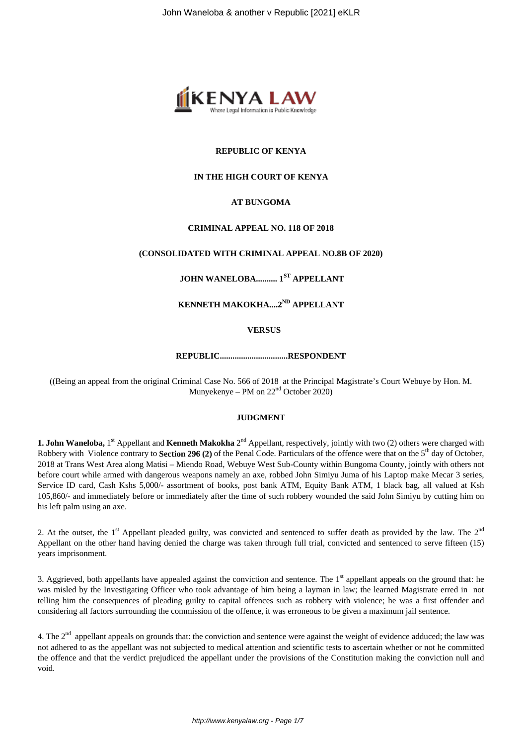

### **REPUBLIC OF KENYA**

#### **IN THE HIGH COURT OF KENYA**

### **AT BUNGOMA**

#### **CRIMINAL APPEAL NO. 118 OF 2018**

#### **(CONSOLIDATED WITH CRIMINAL APPEAL NO.8B OF 2020)**

# **JOHN WANELOBA.......... 1ST APPELLANT**

# **KENNETH MAKOKHA....2ND APPELLANT**

#### **VERSUS**

#### **REPUBLIC................................RESPONDENT**

((Being an appeal from the original Criminal Case No. 566 of 2018 at the Principal Magistrate's Court Webuye by Hon. M. Munyekenye – PM on  $22<sup>nd</sup>$  October 2020)

#### **JUDGMENT**

1. John Waneloba, 1<sup>st</sup> Appellant and Kenneth Makokha 2<sup>nd</sup> Appellant, respectively, jointly with two (2) others were charged with Robbery with Violence contrary to **Section 296 (2)** of the Penal Code. Particulars of the offence were that on the 5<sup>th</sup> day of October, 2018 at Trans West Area along Matisi – Miendo Road, Webuye West Sub-County within Bungoma County, jointly with others not before court while armed with dangerous weapons namely an axe, robbed John Simiyu Juma of his Laptop make Mecar 3 series, Service ID card, Cash Kshs 5,000/- assortment of books, post bank ATM, Equity Bank ATM, 1 black bag, all valued at Ksh 105,860/- and immediately before or immediately after the time of such robbery wounded the said John Simiyu by cutting him on his left palm using an axe.

2. At the outset, the  $1^{\text{st}}$  Appellant pleaded guilty, was convicted and sentenced to suffer death as provided by the law. The  $2^{\text{nd}}$ Appellant on the other hand having denied the charge was taken through full trial, convicted and sentenced to serve fifteen (15) years imprisonment.

3. Aggrieved, both appellants have appealed against the conviction and sentence. The  $1<sup>st</sup>$  appellant appeals on the ground that: he was misled by the Investigating Officer who took advantage of him being a layman in law; the learned Magistrate erred in not telling him the consequences of pleading guilty to capital offences such as robbery with violence; he was a first offender and considering all factors surrounding the commission of the offence, it was erroneous to be given a maximum jail sentence.

4. The  $2<sup>nd</sup>$  appellant appeals on grounds that: the conviction and sentence were against the weight of evidence adduced; the law was not adhered to as the appellant was not subjected to medical attention and scientific tests to ascertain whether or not he committed the offence and that the verdict prejudiced the appellant under the provisions of the Constitution making the conviction null and void.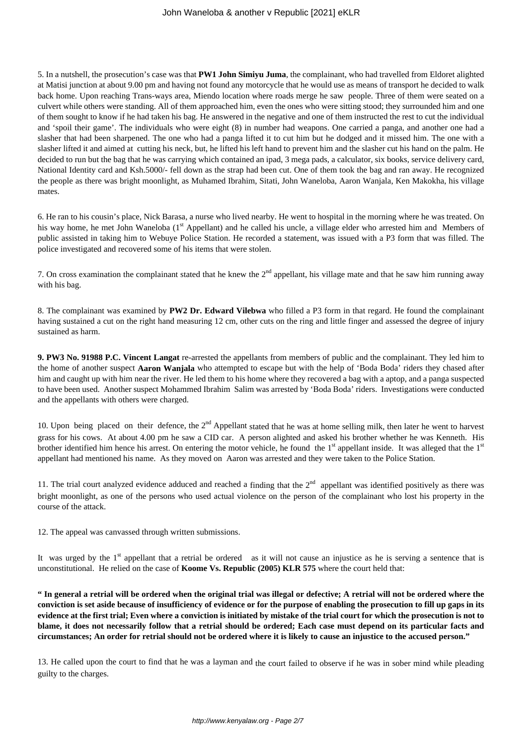5. In a nutshell, the prosecution's case was that **PW1 John Simiyu Juma**, the complainant, who had travelled from Eldoret alighted at Matisi junction at about 9.00 pm and having not found any motorcycle that he would use as means of transport he decided to walk back home. Upon reaching Trans-ways area, Miendo location where roads merge he saw people. Three of them were seated on a culvert while others were standing. All of them approached him, even the ones who were sitting stood; they surrounded him and one of them sought to know if he had taken his bag. He answered in the negative and one of them instructed the rest to cut the individual and 'spoil their game'. The individuals who were eight (8) in number had weapons. One carried a panga, and another one had a slasher that had been sharpened. The one who had a panga lifted it to cut him but he dodged and it missed him. The one with a slasher lifted it and aimed at cutting his neck, but, he lifted his left hand to prevent him and the slasher cut his hand on the palm. He decided to run but the bag that he was carrying which contained an ipad, 3 mega pads, a calculator, six books, service delivery card, National Identity card and Ksh.5000/- fell down as the strap had been cut. One of them took the bag and ran away. He recognized the people as there was bright moonlight, as Muhamed Ibrahim, Sitati, John Waneloba, Aaron Wanjala, Ken Makokha, his village mates.

6. He ran to his cousin's place, Nick Barasa, a nurse who lived nearby. He went to hospital in the morning where he was treated. On his way home, he met John Waneloba (1<sup>st</sup> Appellant) and he called his uncle, a village elder who arrested him and Members of public assisted in taking him to Webuye Police Station. He recorded a statement, was issued with a P3 form that was filled. The police investigated and recovered some of his items that were stolen.

7. On cross examination the complainant stated that he knew the  $2<sup>nd</sup>$  appellant, his village mate and that he saw him running away with his bag.

8. The complainant was examined by **PW2 Dr. Edward Vilebwa** who filled a P3 form in that regard. He found the complainant having sustained a cut on the right hand measuring 12 cm, other cuts on the ring and little finger and assessed the degree of injury sustained as harm.

**9. PW3 No. 91988 P.C. Vincent Langat** re-arrested the appellants from members of public and the complainant. They led him to the home of another suspect **Aaron Wanjala** who attempted to escape but with the help of 'Boda Boda' riders they chased after him and caught up with him near the river. He led them to his home where they recovered a bag with a aptop, and a panga suspected to have been used. Another suspect Mohammed Ibrahim Salim was arrested by 'Boda Boda' riders. Investigations were conducted and the appellants with others were charged.

10. Upon being placed on their defence, the  $2<sup>nd</sup>$  Appellant stated that he was at home selling milk, then later he went to harvest grass for his cows. At about 4.00 pm he saw a CID car. A person alighted and asked his brother whether he was Kenneth. His brother identified him hence his arrest. On entering the motor vehicle, he found the  $1<sup>st</sup>$  appellant inside. It was alleged that the  $1<sup>st</sup>$ appellant had mentioned his name. As they moved on Aaron was arrested and they were taken to the Police Station.

11. The trial court analyzed evidence adduced and reached a finding that the  $2<sup>nd</sup>$  appellant was identified positively as there was bright moonlight, as one of the persons who used actual violence on the person of the complainant who lost his property in the course of the attack.

12. The appeal was canvassed through written submissions.

It was urged by the  $1<sup>st</sup>$  appellant that a retrial be ordered as it will not cause an injustice as he is serving a sentence that is unconstitutional. He relied on the case of **Koome Vs. Republic (2005) KLR 575** where the court held that:

**" In general a retrial will be ordered when the original trial was illegal or defective; A retrial will not be ordered where the conviction is set aside because of insufficiency of evidence or for the purpose of enabling the prosecution to fill up gaps in its evidence at the first trial; Even where a conviction is initiated by mistake of the trial court for which the prosecution is not to blame, it does not necessarily follow that a retrial should be ordered; Each case must depend on its particular facts and circumstances; An order for retrial should not be ordered where it is likely to cause an injustice to the accused person."**

13. He called upon the court to find that he was a layman and the court failed to observe if he was in sober mind while pleading guilty to the charges.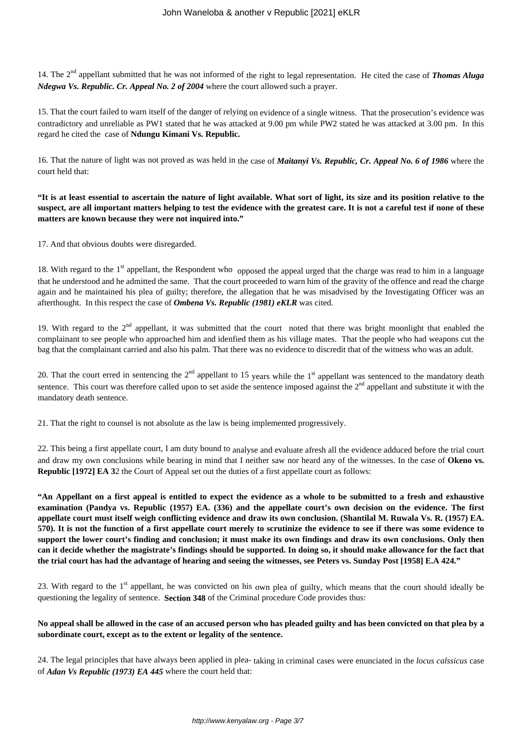14. The 2nd appellant submitted that he was not informed of the right to legal representation. He cited the case of *Thomas Aluga Ndegwa Vs. Republic. Cr. Appeal No. 2 of 2004* where the court allowed such a prayer.

15. That the court failed to warn itself of the danger of relying on evidence of a single witness. That the prosecution's evidence was contradictory and unreliable as PW1 stated that he was attacked at 9.00 pm while PW2 stated he was attacked at 3.00 pm. In this regard he cited the case of **Ndungu Kimani Vs. Republic.**

16. That the nature of light was not proved as was held in the case of *Maitanyi Vs. Republic, Cr. Appeal No. 6 of 1986* where the court held that:

**"It is at least essential to ascertain the nature of light available. What sort of light, its size and its position relative to the suspect, are all important matters helping to test the evidence with the greatest care. It is not a careful test if none of these matters are known because they were not inquired into."**

17. And that obvious doubts were disregarded.

18. With regard to the 1<sup>st</sup> appellant, the Respondent who opposed the appeal urged that the charge was read to him in a language that he understood and he admitted the same. That the court proceeded to warn him of the gravity of the offence and read the charge again and he maintained his plea of guilty; therefore, the allegation that he was misadvised by the Investigating Officer was an afterthought. In this respect the case of *Ombena Vs. Republic (1981) eKLR* was cited.

19. With regard to the  $2<sup>nd</sup>$  appellant, it was submitted that the court noted that there was bright moonlight that enabled the complainant to see people who approached him and idenfied them as his village mates. That the people who had weapons cut the bag that the complainant carried and also his palm. That there was no evidence to discredit that of the witness who was an adult.

20. That the court erred in sentencing the  $2<sup>nd</sup>$  appellant to 15 years while the  $1<sup>st</sup>$  appellant was sentenced to the mandatory death sentence. This court was therefore called upon to set aside the sentence imposed against the 2<sup>nd</sup> appellant and substitute it with the mandatory death sentence.

21. That the right to counsel is not absolute as the law is being implemented progressively.

22. This being a first appellate court, I am duty bound to analyse and evaluate afresh all the evidence adduced before the trial court and draw my own conclusions while bearing in mind that I neither saw nor heard any of the witnesses. In the case of **Okeno vs. Republic [1972] EA 32 the Court of Appeal set out the duties of a first appellate court as follows:** 

**"An Appellant on a first appeal is entitled to expect the evidence as a whole to be submitted to a fresh and exhaustive examination (Pandya vs. Republic (1957) EA. (336) and the appellate court's own decision on the evidence. The first appellate court must itself weigh conflicting evidence and draw its own conclusion. (Shantilal M. Ruwala Vs. R. (1957) EA. 570). It is not the function of a first appellate court merely to scrutinize the evidence to see if there was some evidence to support the lower court's finding and conclusion; it must make its own findings and draw its own conclusions. Only then can it decide whether the magistrate's findings should be supported. In doing so, it should make allowance for the fact that the trial court has had the advantage of hearing and seeing the witnesses, see Peters vs. Sunday Post [1958] E.A 424."**

23. With regard to the  $1<sup>st</sup>$  appellant, he was convicted on his own plea of guilty, which means that the court should ideally be questioning the legality of sentence. **Section 348** of the Criminal procedure Code provides thus:

# **No appeal shall be allowed in the case of an accused person who has pleaded guilty and has been convicted on that plea by a subordinate court, except as to the extent or legality of the sentence.**

24. The legal principles that have always been applied in plea- taking in criminal cases were enunciated in the *locus calssicus* case of *Adan Vs Republic (1973) EA 445* where the court held that: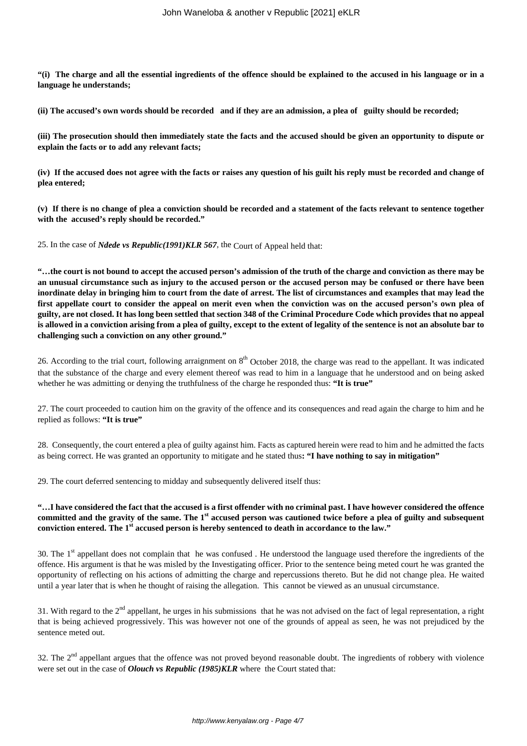**"(i) The charge and all the essential ingredients of the offence should be explained to the accused in his language or in a language he understands;**

**(ii) The accused's own words should be recorded and if they are an admission, a plea of guilty should be recorded;**

**(iii) The prosecution should then immediately state the facts and the accused should be given an opportunity to dispute or explain the facts or to add any relevant facts;**

**(iv) If the accused does not agree with the facts or raises any question of his guilt his reply must be recorded and change of plea entered;**

**(v) If there is no change of plea a conviction should be recorded and a statement of the facts relevant to sentence together with the accused's reply should be recorded."**

25. In the case of *Ndede vs Republic(1991)KLR 567*, the Court of Appeal held that:

**"…the court is not bound to accept the accused person's admission of the truth of the charge and conviction as there may be an unusual circumstance such as injury to the accused person or the accused person may be confused or there have been inordinate delay in bringing him to court from the date of arrest. The list of circumstances and examples that may lead the first appellate court to consider the appeal on merit even when the conviction was on the accused person's own plea of guilty, are not closed. It has long been settled that section 348 of the Criminal Procedure Code which provides that no appeal is allowed in a conviction arising from a plea of guilty, except to the extent of legality of the sentence is not an absolute bar to challenging such a conviction on any other ground."**

26. According to the trial court, following arraignment on  $8<sup>th</sup>$  October 2018, the charge was read to the appellant. It was indicated that the substance of the charge and every element thereof was read to him in a language that he understood and on being asked whether he was admitting or denying the truthfulness of the charge he responded thus: **"It is true"**

27. The court proceeded to caution him on the gravity of the offence and its consequences and read again the charge to him and he replied as follows: **"It is true"**

28. Consequently, the court entered a plea of guilty against him. Facts as captured herein were read to him and he admitted the facts as being correct. He was granted an opportunity to mitigate and he stated thus**: "I have nothing to say in mitigation"**

29. The court deferred sentencing to midday and subsequently delivered itself thus:

# **"…I have considered the fact that the accused is a first offender with no criminal past. I have however considered the offence committed and the gravity of the same. The 1st accused person was cautioned twice before a plea of guilty and subsequent conviction entered. The 1st accused person is hereby sentenced to death in accordance to the law."**

30. The  $1<sup>st</sup>$  appellant does not complain that he was confused. He understood the language used therefore the ingredients of the offence. His argument is that he was misled by the Investigating officer. Prior to the sentence being meted court he was granted the opportunity of reflecting on his actions of admitting the charge and repercussions thereto. But he did not change plea. He waited until a year later that is when he thought of raising the allegation. This cannot be viewed as an unusual circumstance.

31. With regard to the  $2<sup>nd</sup>$  appellant, he urges in his submissions that he was not advised on the fact of legal representation, a right that is being achieved progressively. This was however not one of the grounds of appeal as seen, he was not prejudiced by the sentence meted out.

32. The  $2<sup>nd</sup>$  appellant argues that the offence was not proved beyond reasonable doubt. The ingredients of robbery with violence were set out in the case of *Olouch vs Republic (1985)KLR* where the Court stated that: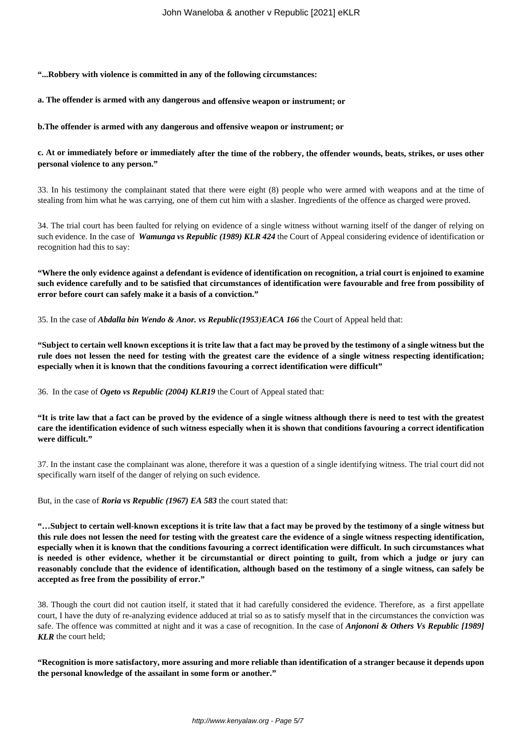**"...Robbery with violence is committed in any of the following circumstances:**

**a. The offender is armed with any dangerous and offensive weapon or instrument; or**

**b.The offender is armed with any dangerous and offensive weapon or instrument; or**

**c. At or immediately before or immediately after the time of the robbery, the offender wounds, beats, strikes, or uses other personal violence to any person."** 

33. In his testimony the complainant stated that there were eight (8) people who were armed with weapons and at the time of stealing from him what he was carrying, one of them cut him with a slasher. Ingredients of the offence as charged were proved.

34. The trial court has been faulted for relying on evidence of a single witness without warning itself of the danger of relying on such evidence. In the case of *Wamunga vs Republic (1989) KLR 424* the Court of Appeal considering evidence of identification or recognition had this to say:

**"Where the only evidence against a defendant is evidence of identification on recognition, a trial court is enjoined to examine such evidence carefully and to be satisfied that circumstances of identification were favourable and free from possibility of error before court can safely make it a basis of a conviction."**

35. In the case of *Abdalla bin Wendo & Anor. vs Republic(1953)EACA 166* the Court of Appeal held that:

**"Subject to certain well known exceptions it is trite law that a fact may be proved by the testimony of a single witness but the rule does not lessen the need for testing with the greatest care the evidence of a single witness respecting identification; especially when it is known that the conditions favouring a correct identification were difficult"**

36. In the case of *Ogeto vs Republic (2004) KLR19* the Court of Appeal stated that:

**"It is trite law that a fact can be proved by the evidence of a single witness although there is need to test with the greatest care the identification evidence of such witness especially when it is shown that conditions favouring a correct identification were difficult."** 

37. In the instant case the complainant was alone, therefore it was a question of a single identifying witness. The trial court did not specifically warn itself of the danger of relying on such evidence.

But, in the case of *Roria vs Republic (1967) EA 583* the court stated that:

**"…Subject to certain well-known exceptions it is trite law that a fact may be proved by the testimony of a single witness but this rule does not lessen the need for testing with the greatest care the evidence of a single witness respecting identification, especially when it is known that the conditions favouring a correct identification were difficult. In such circumstances what is needed is other evidence, whether it be circumstantial or direct pointing to guilt, from which a judge or jury can reasonably conclude that the evidence of identification, although based on the testimony of a single witness, can safely be accepted as free from the possibility of error."**

38. Though the court did not caution itself, it stated that it had carefully considered the evidence. Therefore, as a first appellate court, I have the duty of re-analyzing evidence adduced at trial so as to satisfy myself that in the circumstances the conviction was safe. The offence was committed at night and it was a case of recognition. In the case of *Anjononi & Others Vs Republic [1989] KLR* the court held;

**"Recognition is more satisfactory, more assuring and more reliable than identification of a stranger because it depends upon the personal knowledge of the assailant in some form or another."**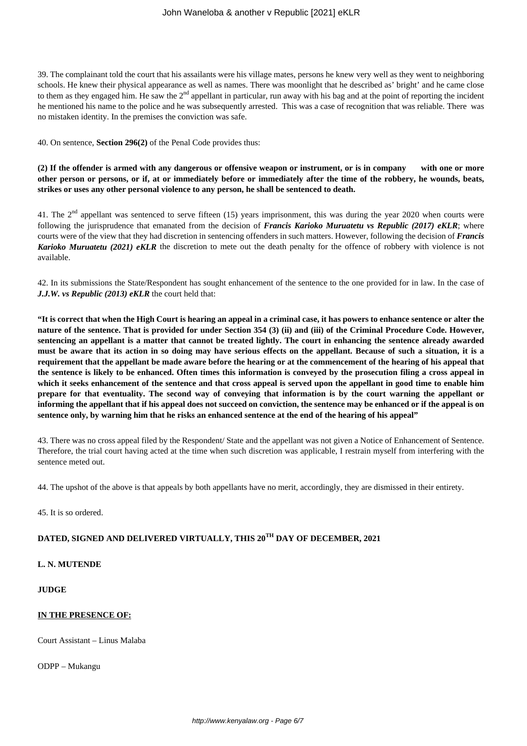39. The complainant told the court that his assailants were his village mates, persons he knew very well as they went to neighboring schools. He knew their physical appearance as well as names. There was moonlight that he described as' bright' and he came close to them as they engaged him. He saw the 2<sup>nd</sup> appellant in particular, run away with his bag and at the point of reporting the incident he mentioned his name to the police and he was subsequently arrested. This was a case of recognition that was reliable. There was no mistaken identity. In the premises the conviction was safe.

40. On sentence, **Section 296(2)** of the Penal Code provides thus:

**(2) If the offender is armed with any dangerous or offensive weapon or instrument, or is in company with one or more other person or persons, or if, at or immediately before or immediately after the time of the robbery, he wounds, beats, strikes or uses any other personal violence to any person, he shall be sentenced to death.**

41. The 2<sup>nd</sup> appellant was sentenced to serve fifteen (15) years imprisonment, this was during the year 2020 when courts were following the jurisprudence that emanated from the decision of *Francis Karioko Muruatetu vs Republic (2017) eKLR*; where courts were of the view that they had discretion in sentencing offenders in such matters. However, following the decision of *Francis Karioko Muruatetu (2021) eKLR* the discretion to mete out the death penalty for the offence of robbery with violence is not available.

42. In its submissions the State/Respondent has sought enhancement of the sentence to the one provided for in law. In the case of *J.J.W. vs Republic (2013) eKLR* the court held that:

**"It is correct that when the High Court is hearing an appeal in a criminal case, it has powers to enhance sentence or alter the nature of the sentence. That is provided for under Section 354 (3) (ii) and (iii) of the Criminal Procedure Code. However, sentencing an appellant is a matter that cannot be treated lightly. The court in enhancing the sentence already awarded must be aware that its action in so doing may have serious effects on the appellant. Because of such a situation, it is a requirement that the appellant be made aware before the hearing or at the commencement of the hearing of his appeal that the sentence is likely to be enhanced. Often times this information is conveyed by the prosecution filing a cross appeal in which it seeks enhancement of the sentence and that cross appeal is served upon the appellant in good time to enable him prepare for that eventuality. The second way of conveying that information is by the court warning the appellant or informing the appellant that if his appeal does not succeed on conviction, the sentence may be enhanced or if the appeal is on sentence only, by warning him that he risks an enhanced sentence at the end of the hearing of his appeal"**

43. There was no cross appeal filed by the Respondent/ State and the appellant was not given a Notice of Enhancement of Sentence. Therefore, the trial court having acted at the time when such discretion was applicable, I restrain myself from interfering with the sentence meted out.

44. The upshot of the above is that appeals by both appellants have no merit, accordingly, they are dismissed in their entirety.

45. It is so ordered.

# **DATED, SIGNED AND DELIVERED VIRTUALLY, THIS 20TH DAY OF DECEMBER, 2021**

**L. N. MUTENDE**

# **JUDGE**

# **IN THE PRESENCE OF:**

Court Assistant – Linus Malaba

ODPP – Mukangu